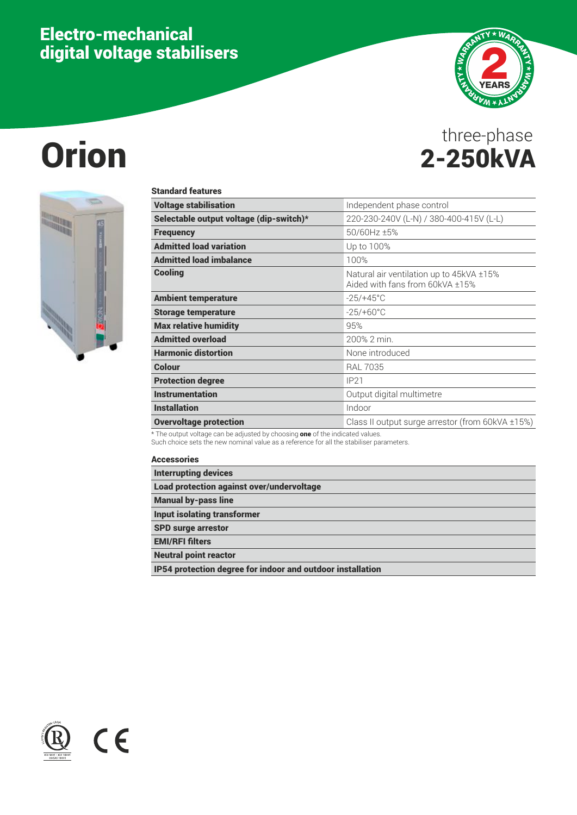# Electro-mechanical digital voltage stabilisers



# Orion 2-250kVA three-phase



| <b>Standard features</b>                |                                                                             |
|-----------------------------------------|-----------------------------------------------------------------------------|
| <b>Voltage stabilisation</b>            | Independent phase control                                                   |
| Selectable output voltage (dip-switch)* | 220-230-240V (L-N) / 380-400-415V (L-L)                                     |
| <b>Frequency</b>                        | 50/60Hz ±5%                                                                 |
| <b>Admitted load variation</b>          | Up to 100%                                                                  |
| <b>Admitted load imbalance</b>          | 100%                                                                        |
| <b>Cooling</b>                          | Natural air ventilation up to 45kVA ±15%<br>Aided with fans from 60kVA ±15% |
| <b>Ambient temperature</b>              | -25/+45°C                                                                   |
| <b>Storage temperature</b>              | $-25/+60^{\circ}$ C                                                         |
| <b>Max relative humidity</b>            | 95%                                                                         |
| <b>Admitted overload</b>                | 200% 2 min.                                                                 |
| <b>Harmonic distortion</b>              | None introduced                                                             |
| Colour                                  | <b>RAL 7035</b>                                                             |
| <b>Protection degree</b>                | IP21                                                                        |
| <b>Instrumentation</b>                  | Output digital multimetre                                                   |
| <b>Installation</b>                     | Indoor                                                                      |
| <b>Overvoltage protection</b>           | Class II output surge arrestor (from 60kVA $\pm$ 15%)                       |

\* The output voltage can be adjusted by choosing one of the indicated values. Such choice sets the new nominal value as a reference for all the stabiliser parameters.

#### Accessories

| <b>Interrupting devices</b>                                |
|------------------------------------------------------------|
| <b>Load protection against over/undervoltage</b>           |
| <b>Manual by-pass line</b>                                 |
| <b>Input isolating transformer</b>                         |
| <b>SPD surge arrestor</b>                                  |
| <b>EMI/RFI filters</b>                                     |
| <b>Neutral point reactor</b>                               |
| IP54 protection degree for indoor and outdoor installation |



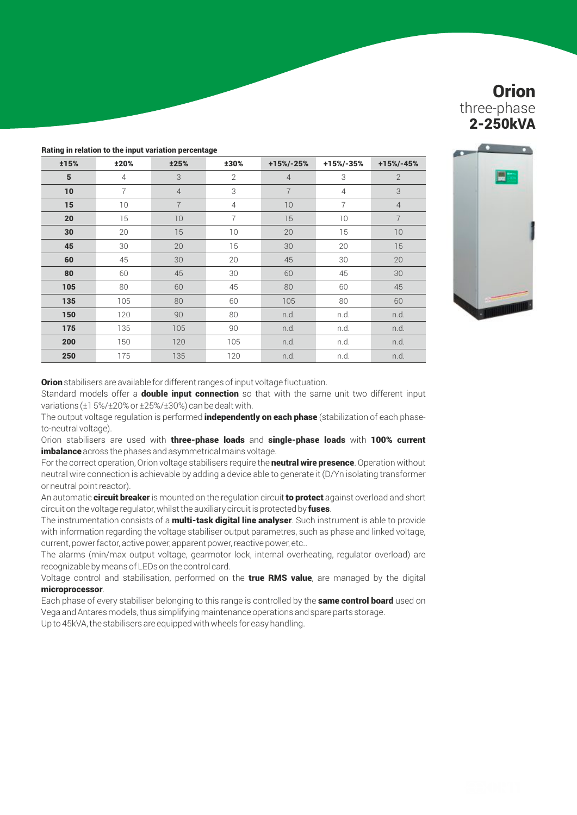#### Rating in relation to the input variation percentage

| ±15% | ±20%           | ±25%           | ±30%           | +15%/-25%      | +15%/-35%      | +15%/-45%      |
|------|----------------|----------------|----------------|----------------|----------------|----------------|
| 5    | $\overline{4}$ | 3              | $\overline{2}$ | $\overline{4}$ | 3              | $\overline{2}$ |
| 10   | $\overline{7}$ | $\overline{4}$ | 3              | $\overline{7}$ | $\overline{4}$ | 3              |
| 15   | 10             | $\overline{7}$ | $\overline{4}$ | 10             | $\overline{7}$ | $\overline{4}$ |
| 20   | 15             | 10             | $\overline{7}$ | 15             | 10             | $\overline{7}$ |
| 30   | 20             | 15             | 10             | 20             | 15             | 10             |
| 45   | 30             | 20             | 15             | 30             | 20             | 15             |
| 60   | 45             | 30             | 20             | 45             | 30             | 20             |
| 80   | 60             | 45             | 30             | 60             | 45             | 30             |
| 105  | 80             | 60             | 45             | 80             | 60             | 45             |
| 135  | 105            | 80             | 60             | 105            | 80             | 60             |
| 150  | 120            | 90             | 80             | n.d.           | n.d.           | n.d.           |
| 175  | 135            | 105            | 90             | n.d.           | n.d.           | n.d.           |
| 200  | 150            | 120            | 105            | n.d.           | n.d.           | n.d.           |
| 250  | 175            | 135            | 120            | n.d.           | n.d.           | n.d.           |

**Orion** stabilisers are available for different ranges of input voltage fluctuation.

Standard models offer a **double input connection** so that with the same unit two different input variations (±1 5%/±20% or ±25%/±30%) can be dealt with.

The output voltage regulation is performed *independently on each phase* (stabilization of each phaseto-neutral voltage).

Orion stabilisers are used with three-phase loads and single-phase loads with 100% current imbalance across the phases and asymmetrical mains voltage.

For the correct operation, Orion voltage stabilisers require the **neutral wire presence**. Operation without neutral wire connection is achievable by adding a device able to generate it (D/Yn isolating transformer or neutral point reactor).

An automatic circuit breaker is mounted on the regulation circuit to protect against overload and short circuit on the voltage regulator, whilst the auxiliary circuit is protected by fuses.

The instrumentation consists of a **multi-task digital line analyser**. Such instrument is able to provide with information regarding the voltage stabiliser output parametres, such as phase and linked voltage, current, power factor, active power, apparent power, reactive power, etc..

The alarms (min/max output voltage, gearmotor lock, internal overheating, regulator overload) are recognizable by means of LEDs on the control card.

Voltage control and stabilisation, performed on the true RMS value, are managed by the digital microprocessor.

Each phase of every stabiliser belonging to this range is controlled by the **same control board** used on Vega and Antares models, thus simplifying maintenance operations and spare parts storage. Up to 45kVA, the stabilisers are equipped with wheels for easy handling.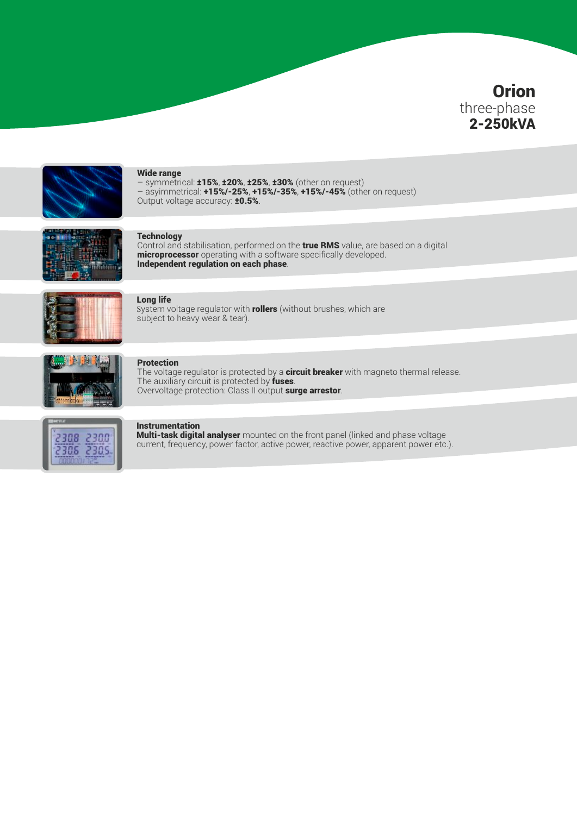



#### Wide range

– symmetrical: ±15%, ±20%, ±25%, ±30% (other on request) – asyimmetrical: +15%/-25%, +15%/-35%, +15%/-45% (other on request) Output voltage accuracy: **±0.5%**.



#### **Technology**

Control and stabilisation, performed on the true RMS value, are based on a digital microprocessor operating with a software specifically developed. Independent regulation on each phase.



# Long life

System voltage regulator with **rollers** (without brushes, which are subject to heavy wear & tear).



#### Protection

The voltage regulator is protected by a **circuit breaker** with magneto thermal release. The auxiliary circuit is protected by **fuses**. Overvoltage protection: Class II output surge arrestor.



#### Instrumentation

**Multi-task digital analyser** mounted on the front panel (linked and phase voltage current, frequency, power factor, active power, reactive power, apparent power etc.).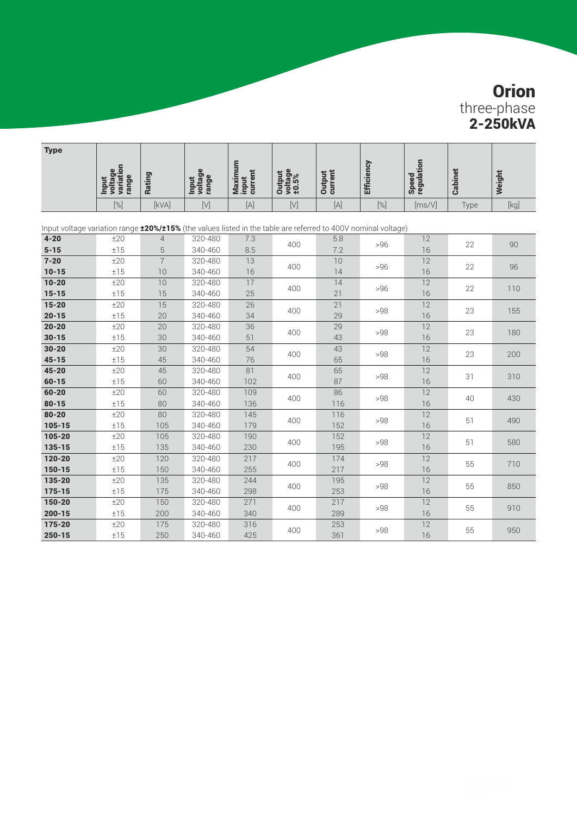| <b>Type</b>                                                                                                         |                                               |                |                           |                             |                            |                          |                   |                     |         |        |
|---------------------------------------------------------------------------------------------------------------------|-----------------------------------------------|----------------|---------------------------|-----------------------------|----------------------------|--------------------------|-------------------|---------------------|---------|--------|
|                                                                                                                     | variation<br>voltage<br>range<br><b>Input</b> | Rating         | Input<br>voltage<br>range | Maximum<br>input<br>current | Output<br>voltage<br>±0.5% | current<br><b>Output</b> | <b>Efficiency</b> | Speed<br>regulation | Cabinet | Weight |
|                                                                                                                     | [%]                                           | [kVA]          | [V]                       | $[{\mathsf A}]$             | $[V]$                      | $[A]$                    | $[\%]$            | [ms/V]              | Type    | [kq]   |
| Input voltage variation range $\pm 20\%/15\%$ (the values listed in the table are referred to 400V nominal voltage) |                                               |                |                           |                             |                            |                          |                   |                     |         |        |
| $4 - 20$                                                                                                            | ±20                                           | $\overline{4}$ | 320-480                   | 7.3                         | 400                        | 5.8                      | >96               | 12                  | 22      | 90     |
| $5 - 15$                                                                                                            | ±15                                           | 5              | 340-460                   | 8.5                         |                            | 7.2                      |                   | 16                  |         |        |
| $7 - 20$                                                                                                            | ±20                                           | $\overline{7}$ | 320-480                   | 13                          | 400                        | 10                       | >96               | 12                  | 22      | 96     |
| $10 - 15$                                                                                                           | ±15                                           | 10             | 340-460                   | 16                          |                            | 14                       |                   | 16                  |         |        |
| $10 - 20$                                                                                                           | ±20                                           | 10             | 320-480                   | 17                          | 400                        | 14                       | >96               | 12                  | 22      | 110    |
| $15 - 15$                                                                                                           | ±15                                           | 15             | 340-460                   | 25                          |                            | 21                       |                   | 16                  |         |        |
| $15 - 20$                                                                                                           | ±20                                           | 15             | 320-480                   | 26                          | 400                        | 21                       | >98               | 12                  | 23      | 155    |
| $20 - 15$                                                                                                           | ±15                                           | 20             | 340-460                   | 34                          |                            | 29                       |                   | 16                  |         |        |
| $20 - 20$                                                                                                           | ±20                                           | 20             | $320 - 480$               | 36                          | 400                        | 29                       | >98               | 12                  | 23      | 180    |
| $30 - 15$                                                                                                           | ±15                                           | 30             | 340-460                   | 51                          |                            | 43                       |                   | 16                  |         |        |
| $30 - 20$                                                                                                           | ±20                                           | 30             | 320-480                   | 54                          | 400                        | 43                       | >98               | 12                  | 23      | 200    |
| $45 - 15$                                                                                                           | ±15                                           | 45             | 340-460                   | 76                          |                            | 65                       |                   | 16                  |         |        |
| $45 - 20$                                                                                                           | ±20                                           | 45             | 320-480                   | 81                          | 400                        | 65                       | >98               | 12                  | 31      | 310    |
| $60 - 15$                                                                                                           | ±15                                           | 60             | 340-460                   | 102                         |                            | 87                       |                   | 16                  |         |        |
| $60 - 20$                                                                                                           | ±20                                           | 60             | 320-480                   | 109                         | 400                        | 86                       | >98               | 12                  | 40      | 430    |
| $80 - 15$                                                                                                           | ±15                                           | 80             | 340-460                   | 136                         |                            | 116                      |                   | 16                  |         |        |
| $80 - 20$                                                                                                           | ±20                                           | 80             | 320-480                   | 145                         | 400                        | 116                      | >98               | 12                  | 51      | 490    |
| $105 - 15$                                                                                                          | ±15                                           | 105            | 340-460                   | 179                         |                            | 152                      |                   | 16                  |         |        |
| 105-20                                                                                                              | ±20                                           | 105            | 320-480                   | 190                         | 400                        | 152                      | >98               | 12                  | 51      | 580    |
| $135 - 15$                                                                                                          | ±15                                           | 135            | 340-460                   | 230                         |                            | 195                      |                   | 16                  |         |        |
| 120-20                                                                                                              | ±20                                           | 120            | 320-480                   | 217                         | 400                        | 174                      | >98               | $\overline{12}$     | 55      | 710    |
| 150-15                                                                                                              | ±15                                           | 150            | 340-460                   | 255                         |                            | 217                      |                   | 16                  |         |        |
| 135-20                                                                                                              | ±20                                           | 135            | 320-480                   | 244                         | 400                        | 195                      | >98               | 12                  | 55      | 850    |
| $175 - 15$                                                                                                          | ±15                                           | 175            | 340-460                   | 298                         |                            | 253                      |                   | 16                  |         |        |
| 150-20                                                                                                              | ±20                                           | 150            | 320-480                   | 271                         | 400                        | 217                      | >98               | 12                  | 55      | 910    |
| $200 - 15$                                                                                                          | ±15                                           | 200            | 340-460                   | 340                         |                            | 289                      |                   | 16                  |         |        |
| 175-20                                                                                                              | ±20                                           | 175            | 320-480                   | 316                         | 400                        | 253                      | >98               | 12                  | 55      | 950    |
| $250 - 15$                                                                                                          | ±15                                           | 250            | 340-460                   | 425                         |                            | 361                      |                   | 16                  |         |        |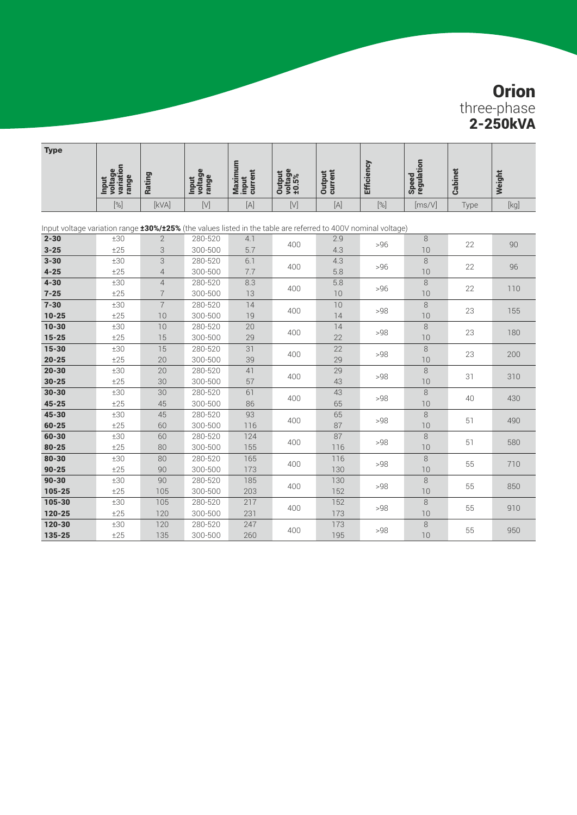| <b>Type</b>                                                                                                   |                                               |                |                           |                             |                            |                          |                   |                     |         |        |
|---------------------------------------------------------------------------------------------------------------|-----------------------------------------------|----------------|---------------------------|-----------------------------|----------------------------|--------------------------|-------------------|---------------------|---------|--------|
|                                                                                                               | voltage<br>variation<br>range<br><b>Input</b> | <b>Rating</b>  | Input<br>voltage<br>range | Maximum<br>input<br>current | Output<br>voltage<br>±0.5% | <b>Output</b><br>current | <b>Efficiency</b> | Speed<br>regulation | Cabinet | Weight |
|                                                                                                               | $[\%]$                                        | [kVA]          | $[ \vee ]$                | $[{\mathsf A}]$             | $[ \vee ]$                 | $[{\mathsf A}]$          | $[\%]$            | [ms/V]              | Type    | [kg]   |
| Input voltage variation range 130%/125% (the values listed in the table are referred to 400V nominal voltage) |                                               |                |                           |                             |                            |                          |                   |                     |         |        |
| $2 - 30$                                                                                                      | ±30                                           | $\overline{2}$ | 280-520                   | 4.1                         | 400                        | 2.9                      | >96               | 8                   | 22      | 90     |
| $3 - 25$                                                                                                      | ±25                                           | 3              | 300-500                   | 5.7                         |                            | 4.3                      |                   | 10                  |         |        |
| $3 - 30$                                                                                                      | ±30                                           | 3              | 280-520                   | 6.1                         | 400                        | 4.3                      | >96               | 8                   | 22      | 96     |
| $4 - 25$                                                                                                      | ±25                                           | $\overline{4}$ | 300-500                   | 7.7                         |                            | 5.8                      |                   | 10                  |         |        |
| $4 - 30$                                                                                                      | ±30                                           | $\overline{4}$ | 280-520                   | 8.3                         | 400                        | 5.8                      | >96               | 8                   | 22      | 110    |
| $7 - 25$                                                                                                      | ±25                                           | $\overline{7}$ | 300-500                   | 13                          |                            | 10                       |                   | 10                  |         |        |
| $7 - 30$                                                                                                      | ±30                                           | $\overline{7}$ | 280-520                   | 14                          | 400                        | 10                       | >98               | 8                   | 23      | 155    |
| $10 - 25$                                                                                                     | ±25                                           | 10             | 300-500                   | 19                          |                            | 14                       |                   | 10                  |         |        |
| $10 - 30$                                                                                                     | ±30                                           | 10             | 280-520                   | 20                          | 400                        | 14                       | >98               | 8                   | 23      | 180    |
| $15 - 25$                                                                                                     | ±25                                           | 15             | 300-500                   | 29                          |                            | 22                       |                   | 10                  |         |        |
| $15 - 30$                                                                                                     | ±30                                           | 15             | 280-520                   | 31                          | 400                        | 22                       | >98               | 8                   | 23      | 200    |
| $20 - 25$                                                                                                     | ±25                                           | 20             | 300-500                   | 39                          |                            | 29                       |                   | 10                  |         |        |
| $20 - 30$                                                                                                     | ±30                                           | 20             | 280-520                   | 41                          | 400                        | 29                       | >98               | 8                   | 31      | 310    |
| $30 - 25$                                                                                                     | ±25                                           | 30             | 300-500                   | 57                          |                            | 43                       |                   | 10                  |         |        |
| $30 - 30$                                                                                                     | ±30                                           | 30             | 280-520                   | 61                          | 400                        | 43                       | >98               | 8                   | 40      | 430    |
| $45 - 25$                                                                                                     | ±25                                           | 45             | 300-500                   | 86                          |                            | 65                       |                   | 10                  |         |        |
| 45-30                                                                                                         | ±30                                           | 45             | 280-520                   | 93                          | 400                        | 65                       | >98               | 8                   | 51      | 490    |
| $60 - 25$                                                                                                     | ±25                                           | 60             | 300-500                   | 116                         |                            | 87                       |                   | 10                  |         |        |
| 60-30                                                                                                         | $\pm 30$                                      | 60             | 280-520                   | 124                         | 400                        | 87                       | >98               | 8                   | 51      | 580    |
| $80 - 25$                                                                                                     | ±25<br>±30                                    | 80             | 300-500                   | 155                         |                            | 116                      |                   | 10                  |         |        |
| $80 - 30$                                                                                                     |                                               | 80             | 280-520                   | 165                         | 400                        | 116                      | >98               | 8                   | 55      | 710    |
| $90 - 25$                                                                                                     | ±25                                           | 90             | 300-500                   | 173                         |                            | 130                      |                   | 10                  |         |        |
| $90 - 30$<br>105-25                                                                                           | ±30<br>±25                                    | 90<br>105      | 280-520<br>300-500        | 185                         | 400                        | 130<br>152               | >98               | 8                   | 55      | 850    |
| 105-30                                                                                                        | ±30                                           | 105            | 280-520                   | 203<br>217                  |                            | 152                      |                   | 10<br>8             |         |        |
| $120 - 25$                                                                                                    | ±25                                           |                | 300-500                   |                             | 400                        | 173                      | >98               |                     | 55      | 910    |
| 120-30                                                                                                        | ±30                                           | 120<br>120     | 280-520                   | 231<br>247                  |                            | 173                      |                   | 10<br>8             |         |        |
| 135-25                                                                                                        | ±25                                           | 135            | 300-500                   | 260                         | 400                        | 195                      | >98               | 10                  | 55      | 950    |
|                                                                                                               |                                               |                |                           |                             |                            |                          |                   |                     |         |        |